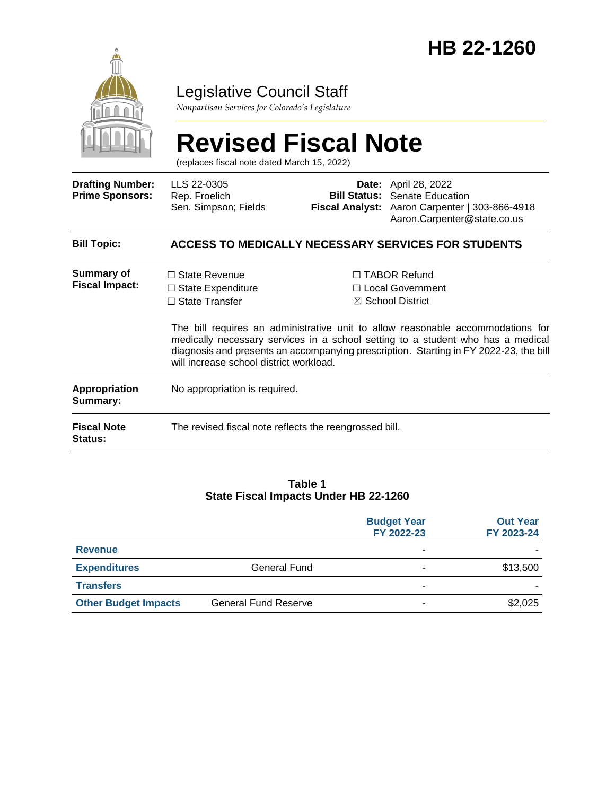

### Legislative Council Staff

*Nonpartisan Services for Colorado's Legislature*

# **Revised Fiscal Note**

(replaces fiscal note dated March 15, 2022)

| <b>Drafting Number:</b><br><b>Prime Sponsors:</b> | LLS 22-0305<br>Rep. Froelich<br>Sen. Simpson; Fields                                                                 | <b>Date:</b> April 28, 2022<br><b>Bill Status:</b> Senate Education<br>Fiscal Analyst: Aaron Carpenter   303-866-4918<br>Aaron.Carpenter@state.co.us                                                                                                                                                                                         |
|---------------------------------------------------|----------------------------------------------------------------------------------------------------------------------|----------------------------------------------------------------------------------------------------------------------------------------------------------------------------------------------------------------------------------------------------------------------------------------------------------------------------------------------|
| <b>Bill Topic:</b>                                |                                                                                                                      | <b>ACCESS TO MEDICALLY NECESSARY SERVICES FOR STUDENTS</b>                                                                                                                                                                                                                                                                                   |
| Summary of<br><b>Fiscal Impact:</b>               | $\Box$ State Revenue<br>$\Box$ State Expenditure<br>$\Box$ State Transfer<br>will increase school district workload. | $\Box$ TABOR Refund<br>$\Box$ Local Government<br>$\boxtimes$ School District<br>The bill requires an administrative unit to allow reasonable accommodations for<br>medically necessary services in a school setting to a student who has a medical<br>diagnosis and presents an accompanying prescription. Starting in FY 2022-23, the bill |
| <b>Appropriation</b><br>Summary:                  | No appropriation is required.                                                                                        |                                                                                                                                                                                                                                                                                                                                              |
| <b>Fiscal Note</b><br><b>Status:</b>              | The revised fiscal note reflects the reengrossed bill.                                                               |                                                                                                                                                                                                                                                                                                                                              |

#### **Table 1 State Fiscal Impacts Under HB 22-1260**

|                             |                             | <b>Budget Year</b><br>FY 2022-23 | <b>Out Year</b><br>FY 2023-24 |
|-----------------------------|-----------------------------|----------------------------------|-------------------------------|
| <b>Revenue</b>              |                             | -                                |                               |
| <b>Expenditures</b>         | General Fund                | -                                | \$13,500                      |
| <b>Transfers</b>            |                             |                                  |                               |
| <b>Other Budget Impacts</b> | <b>General Fund Reserve</b> | ۰                                | \$2,025                       |